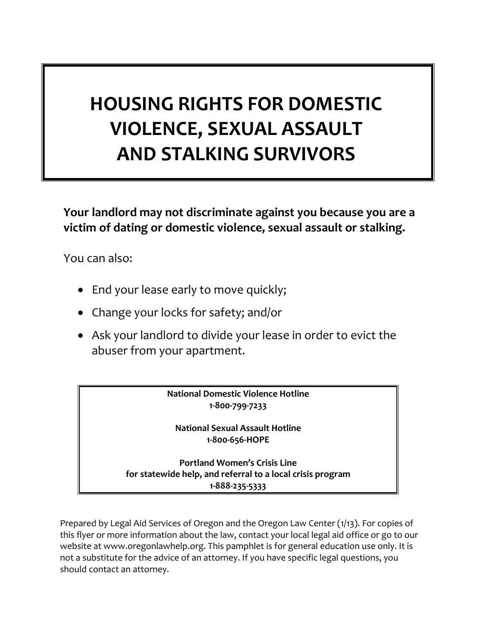# **HOUSING RIGHTS FOR DOMESTIC VIOLENCE, SEXUAL ASSAULT AND STALKING SURVIVORS**

**Your landlord may not discriminate against you because you are a victim of dating or domestic violence, sexual assault or stalking.** 

You can also:

- End your lease early to move quickly;
- Change your locks for safety; and/or
- Ask your landlord to divide your lease in order to evict the abuser from your apartment.

**National Domestic Violence Hotline 1-800-799-7233**

**National Sexual Assault Hotline 1-800-656-HOPE**

**Portland Women's Crisis Line for statewide help, and referral to a local crisis program 1-888-235-5333**

Prepared by Legal Aid Services of Oregon and the Oregon Law Center (1/13). For copies of this flyer or more information about the law, contact your local legal aid office or go to our website at www.oregonlawhelp.org. This pamphlet is for general education use only. It is not a substitute for the advice of an attorney. If you have specific legal questions, you should contact an attorney.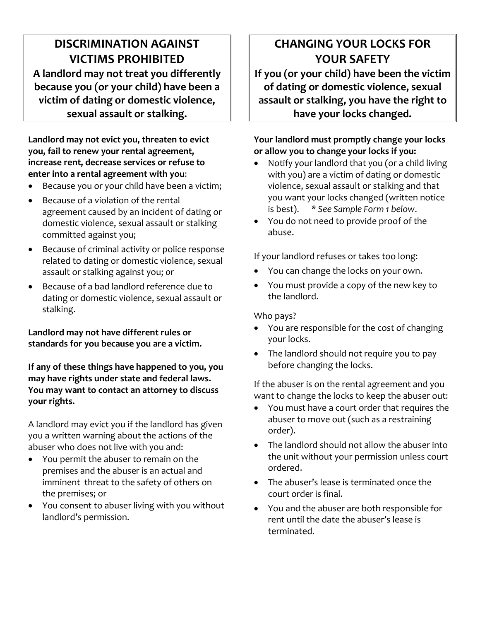### **DISCRIMINATION AGAINST VICTIMS PROHIBITED A landlord may not treat you differently because you (or your child) have been a victim of dating or domestic violence, sexual assault or stalking.**

**Landlord may not evict you, threaten to evict you, fail to renew your rental agreement, increase rent, decrease services or refuse to enter into a rental agreement with you**:

- Because you or your child have been a victim;
- Because of a violation of the rental agreement caused by an incident of dating or domestic violence, sexual assault or stalking committed against you;
- Because of criminal activity or police response related to dating or domestic violence, sexual assault or stalking against you; *or*
- Because of a bad landlord reference due to dating or domestic violence, sexual assault or stalking.

**Landlord may not have different rules or standards for you because you are a victim.** 

**If any of these things have happened to you, you may have rights under state and federal laws. You may want to contact an attorney to discuss your rights.** 

A landlord may evict you if the landlord has given you a written warning about the actions of the abuser who does not live with you and:

- You permit the abuser to remain on the premises and the abuser is an actual and imminent threat to the safety of others on the premises; or
- You consent to abuser living with you without landlord's permission.

# **CHANGING YOUR LOCKS FOR YOUR SAFETY**

**If you (or your child) have been the victim of dating or domestic violence, sexual assault or stalking, you have the right to have your locks changed.**

#### **Your landlord must promptly change your locks or allow you to change your locks if you:**

- Notify your landlord that you (or a child living with you) are a victim of dating or domestic violence, sexual assault or stalking and that you want your locks changed (written notice is best).*\* See Sample Form 1 below*.
- You do not need to provide proof of the abuse.

If your landlord refuses or takes too long:

- You can change the locks on your own.
- You must provide a copy of the new key to the landlord.

Who pays?

- You are responsible for the cost of changing your locks.
- The landlord should not require you to pay before changing the locks.

If the abuser is on the rental agreement and you want to change the locks to keep the abuser out:

- You must have a court order that requires the abuser to move out (such as a restraining order).
- The landlord should not allow the abuser into the unit without your permission unless court ordered.
- The abuser's lease is terminated once the court order is final.
- You and the abuser are both responsible for rent until the date the abuser's lease is terminated.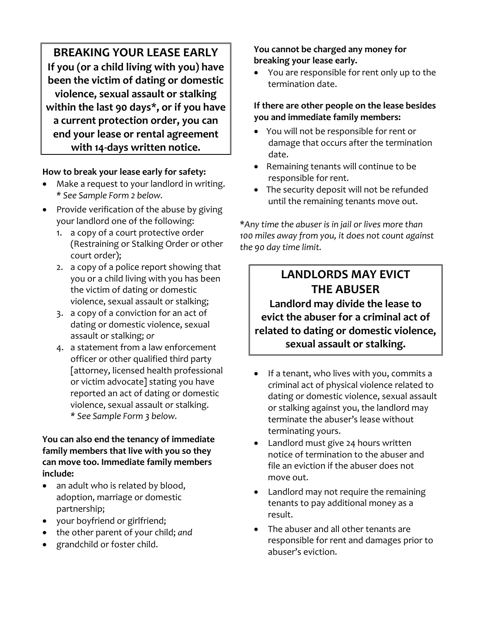**BREAKING YOUR LEASE EARLY If you (or a child living with you) have been the victim of dating or domestic violence, sexual assault or stalking within the last 90 days\*, or if you have a current protection order, you can end your lease or rental agreement with 14-days written notice.**

#### **How to break your lease early for safety:**

- Make a request to your landlord in writing. *\* See Sample Form 2 below.*
- Provide verification of the abuse by giving your landlord one of the following:
	- 1. a copy of a court protective order (Restraining or Stalking Order or other court order);
	- 2. a copy of a police report showing that you or a child living with you has been the victim of dating or domestic violence, sexual assault or stalking;
	- 3. a copy of a conviction for an act of dating or domestic violence, sexual assault or stalking; *or*
	- 4. a statement from a law enforcement officer or other qualified third party [attorney, licensed health professional or victim advocate] stating you have reported an act of dating or domestic violence, sexual assault or stalking. *\* See Sample Form 3 below.*

#### **You can also end the tenancy of immediate family members that live with you so they can move too. Immediate family members include:**

- an adult who is related by blood, adoption, marriage or domestic partnership;
- your boyfriend or girlfriend;
- the other parent of your child; *and*
- grandchild or foster child.

**You cannot be charged any money for breaking your lease early.** 

• You are responsible for rent only up to the termination date.

#### **If there are other people on the lease besides you and immediate family members:**

- You will not be responsible for rent or damage that occurs after the termination date.
- Remaining tenants will continue to be responsible for rent.
- The security deposit will not be refunded until the remaining tenants move out.

\**Any time the abuser is in jail or lives more than 100 miles away from you, it does not count against the 90 day time limit.* 

## **LANDLORDS MAY EVICT THE ABUSER**

**Landlord may divide the lease to evict the abuser for a criminal act of related to dating or domestic violence, sexual assault or stalking.**

- If a tenant, who lives with you, commits a criminal act of physical violence related to dating or domestic violence, sexual assault or stalking against you, the landlord may terminate the abuser's lease without terminating yours.
- Landlord must give 24 hours written notice of termination to the abuser and file an eviction if the abuser does not move out.
- Landlord may not require the remaining tenants to pay additional money as a result.
- The abuser and all other tenants are responsible for rent and damages prior to abuser's eviction.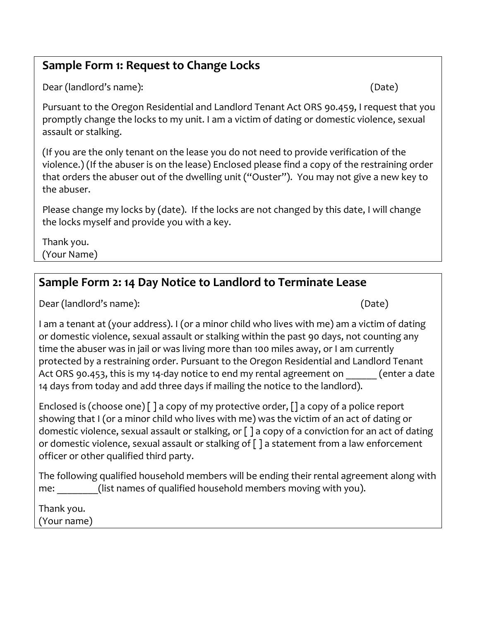## **Sample Form 1: Request to Change Locks**

Dear (landlord's name): (Date)

Pursuant to the Oregon Residential and Landlord Tenant Act ORS 90.459, I request that you promptly change the locks to my unit. I am a victim of dating or domestic violence, sexual assault or stalking.

(If you are the only tenant on the lease you do not need to provide verification of the violence.) (If the abuser is on the lease) Enclosed please find a copy of the restraining order that orders the abuser out of the dwelling unit ("Ouster"). You may not give a new key to the abuser.

Please change my locks by (date). If the locks are not changed by this date, I will change the locks myself and provide you with a key.

Thank you. (Your Name)

## **Sample Form 2: 14 Day Notice to Landlord to Terminate Lease**

Dear (landlord's name): (Date)

I am a tenant at (your address). I (or a minor child who lives with me) am a victim of dating or domestic violence, sexual assault or stalking within the past 90 days, not counting any time the abuser was in jail or was living more than 100 miles away, or I am currently protected by a restraining order. Pursuant to the Oregon Residential and Landlord Tenant Act ORS 90.453, this is my 14-day notice to end my rental agreement on  $\qquad$  (enter a date 14 days from today and add three days if mailing the notice to the landlord).

Enclosed is (choose one)  $\lceil$   $\rceil$  a copy of my protective order,  $\lceil$  a copy of a police report showing that I (or a minor child who lives with me) was the victim of an act of dating or domestic violence, sexual assault or stalking, or [ ] a copy of a conviction for an act of dating or domestic violence, sexual assault or stalking of [ ] a statement from a law enforcement officer or other qualified third party.

The following qualified household members will be ending their rental agreement along with me: (list names of qualified household members moving with you).

Thank you.

(Your name)